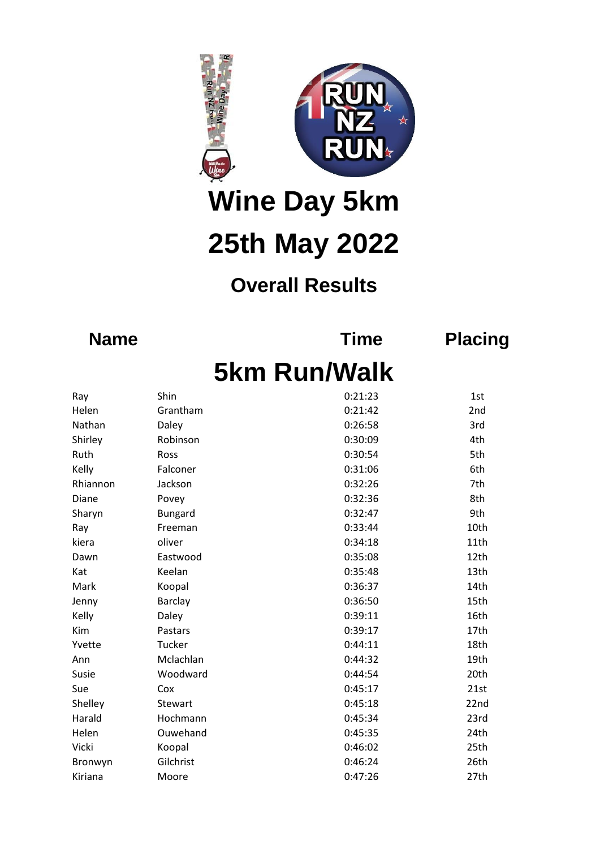

**Wine Day 5km 25th May 2022**

## **Overall Results**

**Name Time Placing**

## **5km Run/Walk**

| Ray      | Shin           | 0:21:23 | 1st  |
|----------|----------------|---------|------|
| Helen    | Grantham       | 0:21:42 | 2nd  |
| Nathan   | Daley          | 0:26:58 | 3rd  |
| Shirley  | Robinson       | 0:30:09 | 4th  |
| Ruth     | Ross           | 0:30:54 | 5th  |
| Kelly    | Falconer       | 0:31:06 | 6th  |
| Rhiannon | Jackson        | 0:32:26 | 7th  |
| Diane    | Povey          | 0:32:36 | 8th  |
| Sharyn   | <b>Bungard</b> | 0:32:47 | 9th  |
| Ray      | Freeman        | 0:33:44 | 10th |
| kiera    | oliver         | 0:34:18 | 11th |
| Dawn     | Eastwood       | 0:35:08 | 12th |
| Kat      | Keelan         | 0:35:48 | 13th |
| Mark     | Koopal         | 0:36:37 | 14th |
| Jenny    | Barclay        | 0:36:50 | 15th |
| Kelly    | Daley          | 0:39:11 | 16th |
| Kim      | Pastars        | 0:39:17 | 17th |
| Yvette   | Tucker         | 0:44:11 | 18th |
| Ann      | Mclachlan      | 0:44:32 | 19th |
| Susie    | Woodward       | 0:44:54 | 20th |
| Sue      | Cox            | 0:45:17 | 21st |
| Shelley  | Stewart        | 0:45:18 | 22nd |
| Harald   | Hochmann       | 0:45:34 | 23rd |
| Helen    | Ouwehand       | 0:45:35 | 24th |
| Vicki    | Koopal         | 0:46:02 | 25th |
| Bronwyn  | Gilchrist      | 0:46:24 | 26th |
| Kiriana  | Moore          | 0:47:26 | 27th |
|          |                |         |      |